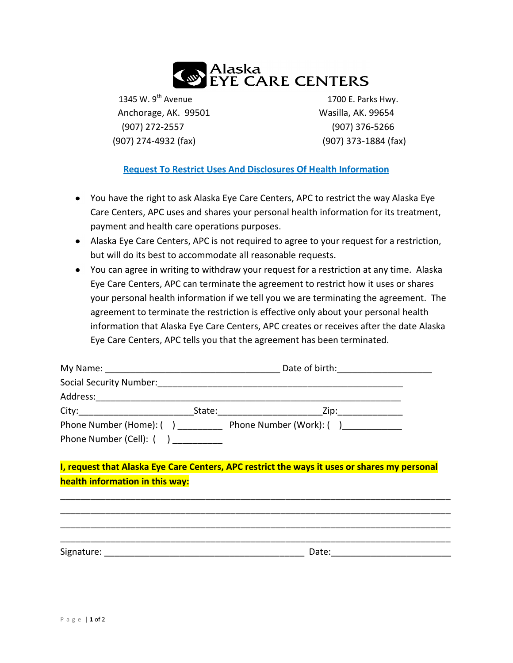

 $1345 \text{ W. } 9^{\text{th}}$  Avenue 1700 E. Parks Hwy. Anchorage, AK. 99501 Wasilla, AK. 99654 (907) 272-2557 (907) 376-5266 (907) 274-4932 (fax) (907) 373-1884 (fax)

## **Request To Restrict Uses And Disclosures Of Health Information**

- You have the right to ask Alaska Eye Care Centers, APC to restrict the way Alaska Eye Care Centers, APC uses and shares your personal health information for its treatment, payment and health care operations purposes.
- Alaska Eye Care Centers, APC is not required to agree to your request for a restriction, but will do its best to accommodate all reasonable requests.
- You can agree in writing to withdraw your request for a restriction at any time. Alaska Eye Care Centers, APC can terminate the agreement to restrict how it uses or shares your personal health information if we tell you we are terminating the agreement. The agreement to terminate the restriction is effective only about your personal health information that Alaska Eye Care Centers, APC creates or receives after the date Alaska Eye Care Centers, APC tells you that the agreement has been terminated.

| My Name:                 |        | Date of birth:          |
|--------------------------|--------|-------------------------|
| Social Security Number:  |        |                         |
| Address:                 |        |                         |
| City:                    | State: | Zip:                    |
| Phone Number (Home): ( ) |        | Phone Number (Work): () |
| Phone Number (Cell): ()  |        |                         |

**I, request that Alaska Eye Care Centers, APC restrict the ways it uses or shares my personal health information in this way:**

\_\_\_\_\_\_\_\_\_\_\_\_\_\_\_\_\_\_\_\_\_\_\_\_\_\_\_\_\_\_\_\_\_\_\_\_\_\_\_\_\_\_\_\_\_\_\_\_\_\_\_\_\_\_\_\_\_\_\_\_\_\_\_\_\_\_\_\_\_\_\_\_\_\_\_\_\_\_ \_\_\_\_\_\_\_\_\_\_\_\_\_\_\_\_\_\_\_\_\_\_\_\_\_\_\_\_\_\_\_\_\_\_\_\_\_\_\_\_\_\_\_\_\_\_\_\_\_\_\_\_\_\_\_\_\_\_\_\_\_\_\_\_\_\_\_\_\_\_\_\_\_\_\_\_\_\_ \_\_\_\_\_\_\_\_\_\_\_\_\_\_\_\_\_\_\_\_\_\_\_\_\_\_\_\_\_\_\_\_\_\_\_\_\_\_\_\_\_\_\_\_\_\_\_\_\_\_\_\_\_\_\_\_\_\_\_\_\_\_\_\_\_\_\_\_\_\_\_\_\_\_\_\_\_\_ \_\_\_\_\_\_\_\_\_\_\_\_\_\_\_\_\_\_\_\_\_\_\_\_\_\_\_\_\_\_\_\_\_\_\_\_\_\_\_\_\_\_\_\_\_\_\_\_\_\_\_\_\_\_\_\_\_\_\_\_\_\_\_\_\_\_\_\_\_\_\_\_\_\_\_\_\_\_

Signature: \_\_\_\_\_\_\_\_\_\_\_\_\_\_\_\_\_\_\_\_\_\_\_\_\_\_\_\_\_\_\_\_\_\_\_\_\_\_\_\_ Date:\_\_\_\_\_\_\_\_\_\_\_\_\_\_\_\_\_\_\_\_\_\_\_\_